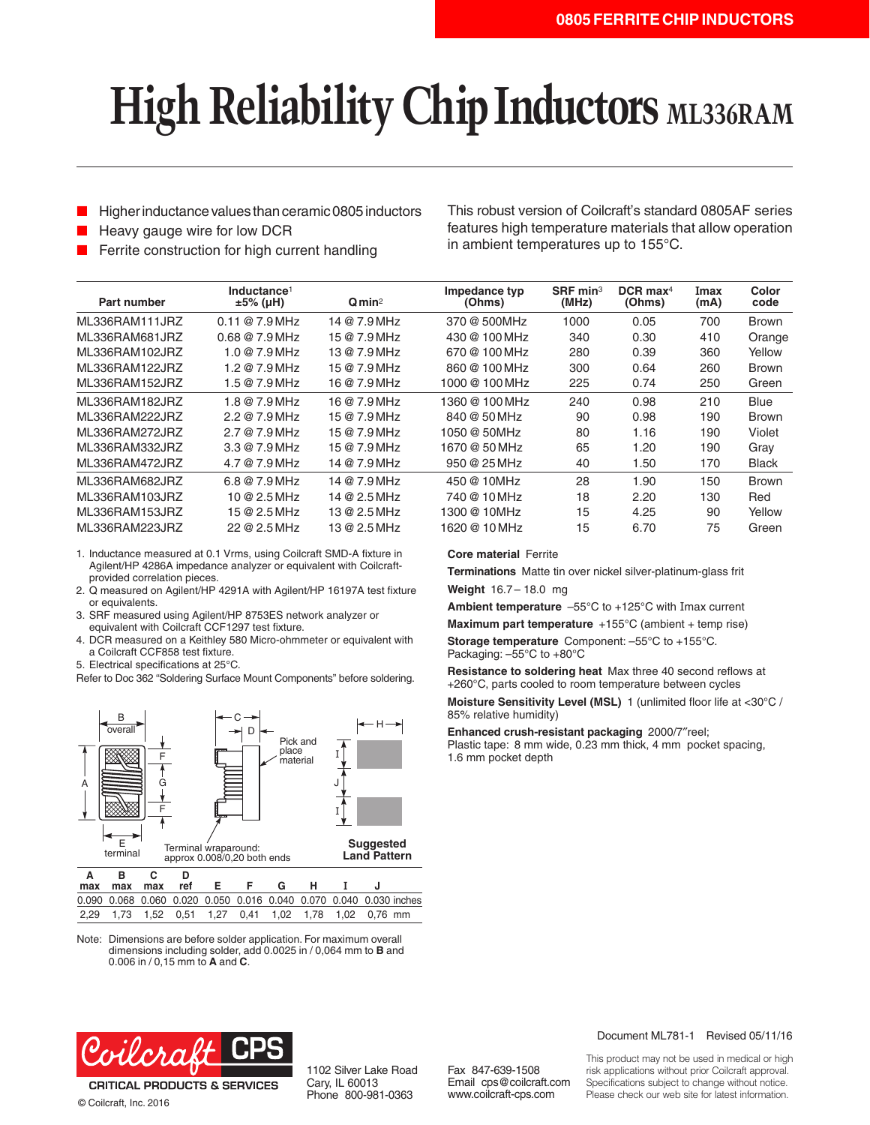# **High Reliability Chip Inductors ML336RAM**

- Higher inductance values than ceramic 0805 inductors
- Heavy gauge wire for low DCR

Ferrite construction for high current handling

This robust version of Coilcraft's standard 0805AF series features high temperature materials that allow operation in ambient temperatures up to 155°C.

| Part number    | Inductance <sup>1</sup><br>$±5\%$ (µH) | Qmin <sup>2</sup> | Impedance typ<br>(Ohms) | $S$ RF min <sup>3</sup><br>(MHz) | $DCR$ max <sup>4</sup><br>(Ohms) | Imax<br>(mA) | Color<br>code |
|----------------|----------------------------------------|-------------------|-------------------------|----------------------------------|----------------------------------|--------------|---------------|
| ML336RAM111JRZ | $0.11@7.9$ MHz                         | 14 @ 7.9 MHz      | 370 @ 500MHz            | 1000                             | 0.05                             | 700          | <b>Brown</b>  |
| ML336RAM681JRZ | $0.68@7.9$ MHz                         | 15 @ 7.9 MHz      | 430 @ 100 MHz           | 340                              | 0.30                             | 410          | Orange        |
| ML336RAM102JRZ | 1.0@7.9MHz                             | 13 @ 7.9 MHz      | 670 @ 100 MHz           | 280                              | 0.39                             | 360          | Yellow        |
| ML336RAM122JRZ | 1.2@7.9MHz                             | 15 @ 7.9 MHz      | 860 @ 100 MHz           | 300                              | 0.64                             | 260          | <b>Brown</b>  |
| ML336RAM152JRZ | 1.5@7.9MHz                             | 16 @ 7.9 MHz      | 1000 @ 100 MHz          | 225                              | 0.74                             | 250          | Green         |
| ML336RAM182JRZ | 1.8 @ 7.9 MHz                          | 16 @ 7.9 MHz      | 1360 @ 100 MHz          | 240                              | 0.98                             | 210          | Blue          |
| ML336RAM222JRZ | 2.2@7.9MHz                             | 15 @ 7.9 MHz      | 840 @ 50 MHz            | 90                               | 0.98                             | 190          | <b>Brown</b>  |
| ML336RAM272JRZ | 2.7@7.9MHz                             | 15 @ 7.9 MHz      | 1050 @ 50MHz            | 80                               | 1.16                             | 190          | Violet        |
| ML336RAM332JRZ | 3.3@7.9MHz                             | 15 @ 7.9 MHz      | 1670 @ 50 MHz           | 65                               | 1.20                             | 190          | Gray          |
| ML336RAM472JRZ | 4.7@7.9MHz                             | 14 @ 7.9 MHz      | $950@25$ MHz            | 40                               | 1.50                             | 170          | <b>Black</b>  |
| ML336RAM682JRZ | 6.8@7.9MHz                             | 14 @ 7.9 MHz      | 450 @ 10MHz             | 28                               | 1.90                             | 150          | <b>Brown</b>  |
| ML336RAM103JRZ | 10 @ 2.5 MHz                           | 14 @ 2.5 MHz      | 740 @ 10 MHz            | 18                               | 2.20                             | 130          | Red           |
| ML336RAM153JRZ | 15@2.5MHz                              | 13 @ 2.5 MHz      | 1300 @ 10MHz            | 15                               | 4.25                             | 90           | Yellow        |
| ML336RAM223JRZ | 22 @ 2.5 MHz                           | 13 @ 2.5 MHz      | 1620 @ 10 MHz           | 15                               | 6.70                             | 75           | Green         |
|                |                                        |                   |                         |                                  |                                  |              |               |

1. Inductance measured at 0.1 Vrms, using Coilcraft SMD-A fixture in Agilent/HP 4286A impedance analyzer or equivalent with Coilcraftprovided correlation pieces.

- 2. Q measured on Agilent/HP 4291A with Agilent/HP 16197A test fixture or equivalents.
- 3. SRF measured using Agilent/HP 8753ES network analyzer or equivalent with Coilcraft CCF1297 test fixture.
- 4. DCR measured on a Keithley 580 Micro-ohmmeter or equivalent with a Coilcraft CCF858 test fixture.
- 5. Electrical specifications at 25°C.
- Refer to Doc 362 "Soldering Surface Mount Components" before soldering.



| 0.090 0.068 0.060 0.020 0.050 0.016 0.040 0.070 0.040 0.030 inches |  |  |  |  |  |
|--------------------------------------------------------------------|--|--|--|--|--|
| 2,29 1,73 1,52 0,51 1,27 0,41 1,02 1,78 1,02 0,76 mm               |  |  |  |  |  |

Note: Dimensions are before solder application. For maximum overall dimensions including solder, add 0.0025 in / 0,064 mm to **B** and 0.006 in / 0,15 mm to **A** and **C**.

### **Core material** Ferrite

**Terminations** Matte tin over nickel silver-platinum-glass frit **Weight** 16.7– 18.0 mg

**Ambient temperature** –55°C to +125°C with Imax current

**Maximum part temperature** +155°C (ambient + temp rise)

**Storage temperature** Component: –55°C to +155°C. Packaging: –55°C to +80°C

**Resistance to soldering heat** Max three 40 second reflows at +260°C, parts cooled to room temperature between cycles

**Moisture Sensitivity Level (MSL)** 1 (unlimited floor life at <30°C / 85% relative humidity)

**Enhanced crush-resistant packaging** 2000/7″reel; Plastic tape: 8 mm wide, 0.23 mm thick, 4 mm pocket spacing, 1.6 mm pocket depth



© Coilcraft, Inc. 2016

1102 Silver Lake Road Cary, IL 60013 Phone 800-981-0363

Fax 847-639-1508 Email cps@coilcraft.com www.coilcraft-cps.com

#### Document ML781-1 Revised 05/11/16

This product may not be used in medical or high risk applications without prior Coilcraft approval. Specifications subject to change without notice. Please check our web site for latest information.